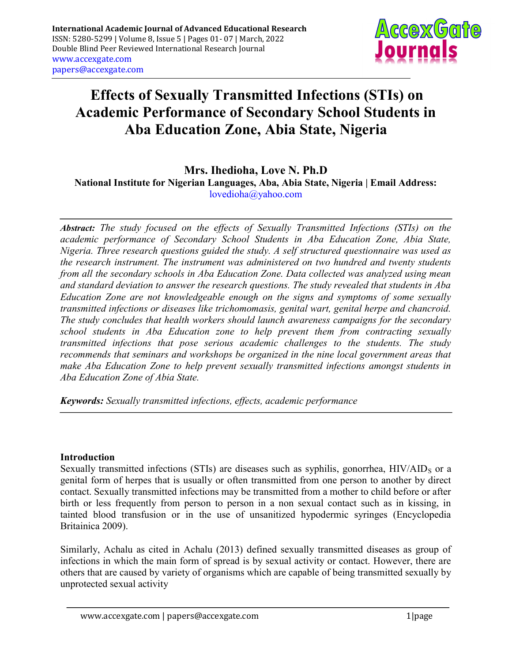

# Effects of Sexually Transmitted Infections (STIs) on Academic Performance of Secondary School Students in Aba Education Zone, Abia State, Nigeria

# Mrs. Ihedioha, Love N. Ph.D

National Institute for Nigerian Languages, Aba, Abia State, Nigeria | Email Address: lovedioha@yahoo.com

Abstract: The study focused on the effects of Sexually Transmitted Infections (STIs) on the academic performance of Secondary School Students in Aba Education Zone, Abia State, Nigeria. Three research questions guided the study. A self structured questionnaire was used as the research instrument. The instrument was administered on two hundred and twenty students from all the secondary schools in Aba Education Zone. Data collected was analyzed using mean and standard deviation to answer the research questions. The study revealed that students in Aba Education Zone are not knowledgeable enough on the signs and symptoms of some sexually transmitted infections or diseases like trichomomasis, genital wart, genital herpe and chancroid. The study concludes that health workers should launch awareness campaigns for the secondary school students in Aba Education zone to help prevent them from contracting sexually transmitted infections that pose serious academic challenges to the students. The study recommends that seminars and workshops be organized in the nine local government areas that make Aba Education Zone to help prevent sexually transmitted infections amongst students in Aba Education Zone of Abia State.

Keywords: Sexually transmitted infections, effects, academic performance

## Introduction

Sexually transmitted infections (STIs) are diseases such as syphilis, gonorrhea,  $HIV/ALD<sub>S</sub>$  or a genital form of herpes that is usually or often transmitted from one person to another by direct contact. Sexually transmitted infections may be transmitted from a mother to child before or after birth or less frequently from person to person in a non sexual contact such as in kissing, in tainted blood transfusion or in the use of unsanitized hypodermic syringes (Encyclopedia Britainica 2009).

Similarly, Achalu as cited in Achalu (2013) defined sexually transmitted diseases as group of infections in which the main form of spread is by sexual activity or contact. However, there are others that are caused by variety of organisms which are capable of being transmitted sexually by unprotected sexual activity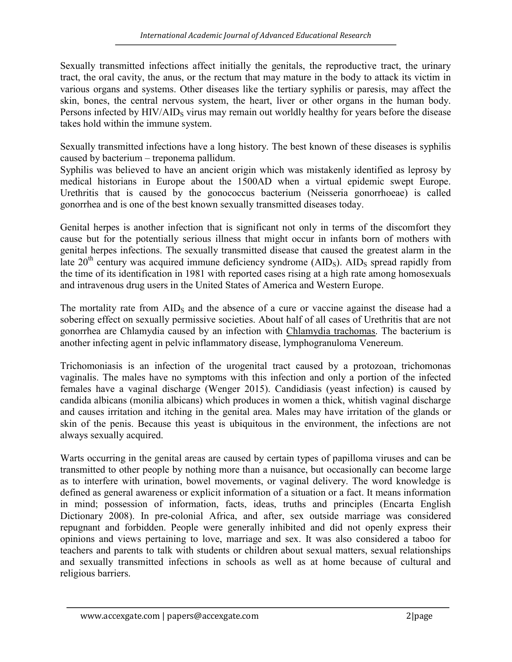Sexually transmitted infections affect initially the genitals, the reproductive tract, the urinary tract, the oral cavity, the anus, or the rectum that may mature in the body to attack its victim in various organs and systems. Other diseases like the tertiary syphilis or paresis, may affect the skin, bones, the central nervous system, the heart, liver or other organs in the human body. Persons infected by HIV/AID<sub>S</sub> virus may remain out worldly healthy for years before the disease takes hold within the immune system.

Sexually transmitted infections have a long history. The best known of these diseases is syphilis caused by bacterium – treponema pallidum.

Syphilis was believed to have an ancient origin which was mistakenly identified as leprosy by medical historians in Europe about the 1500AD when a virtual epidemic swept Europe. Urethritis that is caused by the gonococcus bacterium (Neisseria gonorrhoeae) is called gonorrhea and is one of the best known sexually transmitted diseases today.

Genital herpes is another infection that is significant not only in terms of the discomfort they cause but for the potentially serious illness that might occur in infants born of mothers with genital herpes infections. The sexually transmitted disease that caused the greatest alarm in the late  $20<sup>th</sup>$  century was acquired immune deficiency syndrome (AID<sub>S</sub>). AID<sub>S</sub> spread rapidly from the time of its identification in 1981 with reported cases rising at a high rate among homosexuals and intravenous drug users in the United States of America and Western Europe.

The mortality rate from  $\text{AID}_\text{S}$  and the absence of a cure or vaccine against the disease had a sobering effect on sexually permissive societies. About half of all cases of Urethritis that are not gonorrhea are Chlamydia caused by an infection with Chlamydia trachomas. The bacterium is another infecting agent in pelvic inflammatory disease, lymphogranuloma Venereum.

Trichomoniasis is an infection of the urogenital tract caused by a protozoan, trichomonas vaginalis. The males have no symptoms with this infection and only a portion of the infected females have a vaginal discharge (Wenger 2015). Candidiasis (yeast infection) is caused by candida albicans (monilia albicans) which produces in women a thick, whitish vaginal discharge and causes irritation and itching in the genital area. Males may have irritation of the glands or skin of the penis. Because this yeast is ubiquitous in the environment, the infections are not always sexually acquired.

Warts occurring in the genital areas are caused by certain types of papilloma viruses and can be transmitted to other people by nothing more than a nuisance, but occasionally can become large as to interfere with urination, bowel movements, or vaginal delivery. The word knowledge is defined as general awareness or explicit information of a situation or a fact. It means information in mind; possession of information, facts, ideas, truths and principles (Encarta English Dictionary 2008). In pre-colonial Africa, and after, sex outside marriage was considered repugnant and forbidden. People were generally inhibited and did not openly express their opinions and views pertaining to love, marriage and sex. It was also considered a taboo for teachers and parents to talk with students or children about sexual matters, sexual relationships and sexually transmitted infections in schools as well as at home because of cultural and religious barriers.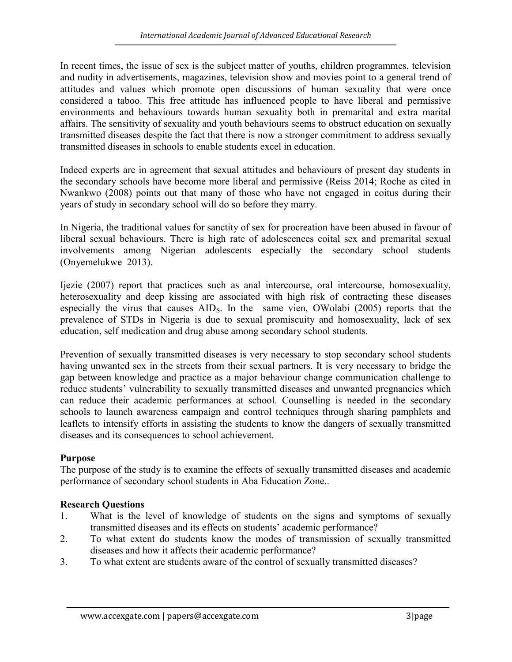In recent times, the issue of sex is the subject matter of youths, children programmes, television and nudity in advertisements, magazines, television show and movies point to a general trend of attitudes and values which promote open discussions of human sexuality that were once considered a taboo. This free attitude has influenced people to have liberal and permissive environments and behaviours towards human sexuality both in premarital and extra marital affairs. The sensitivity of sexuality and youth behaviours seems to obstruct education on sexually transmitted diseases despite the fact that there is now a stronger commitment to address sexually transmitted diseases in schools to enable students excel in education.

Indeed experts are in agreement that sexual attitudes and behaviours of present day students in the secondary schools have become more liberal and permissive (Reiss 2014; Roche as cited in Nwankwo (2008) points out that many of those who have not engaged in coitus during their years of study in secondary school will do so before they marry.

In Nigeria, the traditional values for sanctity of sex for procreation have been abused in favour of liberal sexual behaviours. There is high rate of adolescences coital sex and premarital sexual involvements among Nigerian adolescents especially the secondary school students (Onyemelukwe 2013).

Ijezie (2007) report that practices such as anal intercourse, oral intercourse, homosexuality, heterosexuality and deep kissing are associated with high risk of contracting these diseases especially the virus that causes AID<sub>S</sub>. In the same vien, OWolabi (2005) reports that the prevalence of STDs in Nigeria is due to sexual promiscuity and homosexuality, lack of sex education, self medication and drug abuse among secondary school students.

Prevention of sexually transmitted diseases is very necessary to stop secondary school students having unwanted sex in the streets from their sexual partners. It is very necessary to bridge the gap between knowledge and practice as a major behaviour change communication challenge to reduce students' vulnerability to sexually transmitted diseases and unwanted pregnancies which can reduce their academic performances at school. Counselling is needed in the secondary schools to launch awareness campaign and control techniques through sharing pamphlets and leaflets to intensify efforts in assisting the students to know the dangers of sexually transmitted diseases and its consequences to school achievement.

# Purpose

The purpose of the study is to examine the effects of sexually transmitted diseases and academic performance of secondary school students in Aba Education Zone..

# Research Questions

- 1. What is the level of knowledge of students on the signs and symptoms of sexually transmitted diseases and its effects on students' academic performance?
- 2. To what extent do students know the modes of transmission of sexually transmitted diseases and how it affects their academic performance?
- 3. To what extent are students aware of the control of sexually transmitted diseases?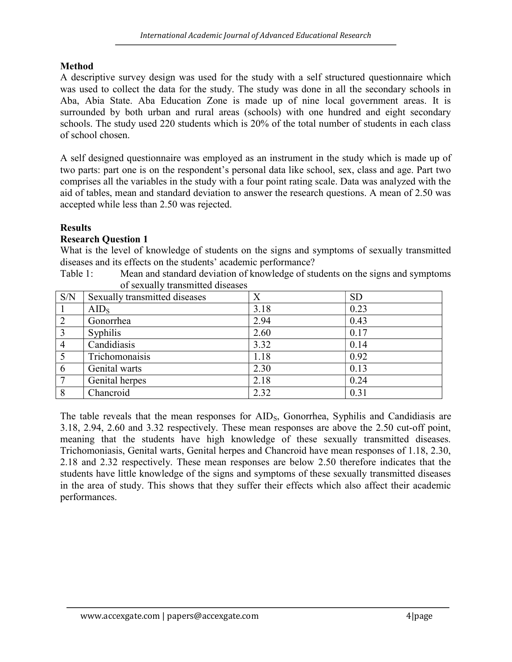# Method

A descriptive survey design was used for the study with a self structured questionnaire which was used to collect the data for the study. The study was done in all the secondary schools in Aba, Abia State. Aba Education Zone is made up of nine local government areas. It is surrounded by both urban and rural areas (schools) with one hundred and eight secondary schools. The study used 220 students which is 20% of the total number of students in each class of school chosen.

A self designed questionnaire was employed as an instrument in the study which is made up of two parts: part one is on the respondent's personal data like school, sex, class and age. Part two comprises all the variables in the study with a four point rating scale. Data was analyzed with the aid of tables, mean and standard deviation to answer the research questions. A mean of 2.50 was accepted while less than 2.50 was rejected.

# **Results**

# Research Question 1

What is the level of knowledge of students on the signs and symptoms of sexually transmitted diseases and its effects on the students' academic performance?

Table 1: Mean and standard deviation of knowledge of students on the signs and symptoms of sexually transmitted diseases

| S/N            | Sexually transmitted diseases | X    | <b>SD</b> |
|----------------|-------------------------------|------|-----------|
|                | $AID_S$                       | 3.18 | 0.23      |
| $\overline{2}$ | Gonorrhea                     | 2.94 | 0.43      |
| 3              | <b>Syphilis</b>               | 2.60 | 0.17      |
| $\overline{4}$ | Candidiasis                   | 3.32 | 0.14      |
|                | Trichomonaisis                | 1.18 | 0.92      |
| 6              | Genital warts                 | 2.30 | 0.13      |
|                | Genital herpes                | 2.18 | 0.24      |
| 8              | Chancroid                     | 2.32 | 0.31      |

The table reveals that the mean responses for AID<sub>S</sub>, Gonorrhea, Syphilis and Candidiasis are 3.18, 2.94, 2.60 and 3.32 respectively. These mean responses are above the 2.50 cut-off point, meaning that the students have high knowledge of these sexually transmitted diseases. Trichomoniasis, Genital warts, Genital herpes and Chancroid have mean responses of 1.18, 2.30, 2.18 and 2.32 respectively. These mean responses are below 2.50 therefore indicates that the students have little knowledge of the signs and symptoms of these sexually transmitted diseases in the area of study. This shows that they suffer their effects which also affect their academic performances.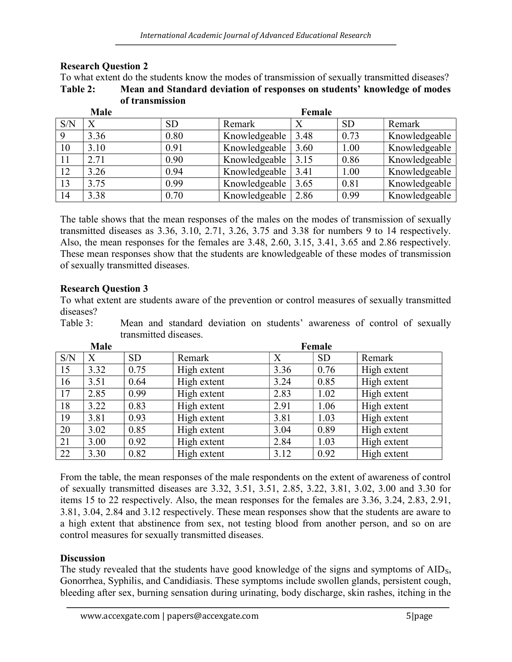|     | of transmission  |           |               |      |           |               |
|-----|------------------|-----------|---------------|------|-----------|---------------|
|     | <b>Male</b>      |           | Female        |      |           |               |
| S/N | $\boldsymbol{X}$ | <b>SD</b> | Remark        | X    | <b>SD</b> | Remark        |
| 9   | 3.36             | 0.80      | Knowledgeable | 3.48 | 0.73      | Knowledgeable |
| 10  | 3.10             | 0.91      | Knowledgeable | 3.60 | 1.00      | Knowledgeable |
| 11  | 2.71             | 0.90      | Knowledgeable | 3.15 | 0.86      | Knowledgeable |
| 12  | 3.26             | 0.94      | Knowledgeable | 3.41 | 1.00      | Knowledgeable |
| 13  | 3.75             | 0.99      | Knowledgeable | 3.65 | 0.81      | Knowledgeable |
| 14  | 3.38             | 0.70      | Knowledgeable | 2.86 | 0.99      | Knowledgeable |

## Research Question 2

To what extent do the students know the modes of transmission of sexually transmitted diseases? Table 2: Mean and Standard deviation of responses on students' knowledge of modes

The table shows that the mean responses of the males on the modes of transmission of sexually transmitted diseases as 3.36, 3.10, 2.71, 3.26, 3.75 and 3.38 for numbers 9 to 14 respectively. Also, the mean responses for the females are 3.48, 2.60, 3.15, 3.41, 3.65 and 2.86 respectively. These mean responses show that the students are knowledgeable of these modes of transmission of sexually transmitted diseases.

## Research Question 3

To what extent are students aware of the prevention or control measures of sexually transmitted diseases?

Table 3: Mean and standard deviation on students' awareness of control of sexually transmitted diseases.

|     | Male |           |             |      | Female    |             |
|-----|------|-----------|-------------|------|-----------|-------------|
| S/N | X    | <b>SD</b> | Remark      | X    | <b>SD</b> | Remark      |
| 15  | 3.32 | 0.75      | High extent | 3.36 | 0.76      | High extent |
| 16  | 3.51 | 0.64      | High extent | 3.24 | 0.85      | High extent |
| 17  | 2.85 | 0.99      | High extent | 2.83 | 1.02      | High extent |
| 18  | 3.22 | 0.83      | High extent | 2.91 | 1.06      | High extent |
| 19  | 3.81 | 0.93      | High extent | 3.81 | 1.03      | High extent |
| 20  | 3.02 | 0.85      | High extent | 3.04 | 0.89      | High extent |
| 21  | 3.00 | 0.92      | High extent | 2.84 | 1.03      | High extent |
| 22  | 3.30 | 0.82      | High extent | 3.12 | 0.92      | High extent |

From the table, the mean responses of the male respondents on the extent of awareness of control of sexually transmitted diseases are 3.32, 3.51, 3.51, 2.85, 3.22, 3.81, 3.02, 3.00 and 3.30 for items 15 to 22 respectively. Also, the mean responses for the females are 3.36, 3.24, 2.83, 2.91, 3.81, 3.04, 2.84 and 3.12 respectively. These mean responses show that the students are aware to a high extent that abstinence from sex, not testing blood from another person, and so on are control measures for sexually transmitted diseases.

## **Discussion**

The study revealed that the students have good knowledge of the signs and symptoms of AID<sub>S</sub>, Gonorrhea, Syphilis, and Candidiasis. These symptoms include swollen glands, persistent cough, bleeding after sex, burning sensation during urinating, body discharge, skin rashes, itching in the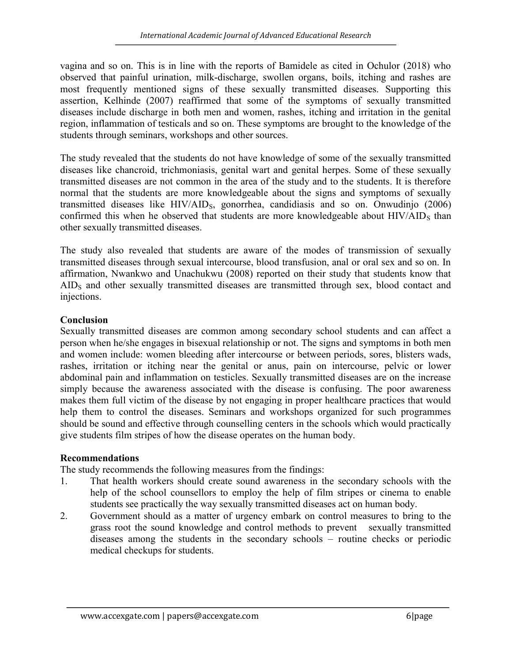vagina and so on. This is in line with the reports of Bamidele as cited in Ochulor (2018) who observed that painful urination, milk-discharge, swollen organs, boils, itching and rashes are most frequently mentioned signs of these sexually transmitted diseases. Supporting this assertion, Kelhinde (2007) reaffirmed that some of the symptoms of sexually transmitted diseases include discharge in both men and women, rashes, itching and irritation in the genital region, inflammation of testicals and so on. These symptoms are brought to the knowledge of the students through seminars, workshops and other sources.

The study revealed that the students do not have knowledge of some of the sexually transmitted diseases like chancroid, trichmoniasis, genital wart and genital herpes. Some of these sexually transmitted diseases are not common in the area of the study and to the students. It is therefore normal that the students are more knowledgeable about the signs and symptoms of sexually transmitted diseases like  $HIV/ALD<sub>S</sub>$ , gonorrhea, candidiasis and so on. Onwudinjo (2006) confirmed this when he observed that students are more knowledgeable about  $HIV/ALD<sub>S</sub>$  than other sexually transmitted diseases.

The study also revealed that students are aware of the modes of transmission of sexually transmitted diseases through sexual intercourse, blood transfusion, anal or oral sex and so on. In affirmation, Nwankwo and Unachukwu (2008) reported on their study that students know that AIDS and other sexually transmitted diseases are transmitted through sex, blood contact and injections.

## Conclusion

Sexually transmitted diseases are common among secondary school students and can affect a person when he/she engages in bisexual relationship or not. The signs and symptoms in both men and women include: women bleeding after intercourse or between periods, sores, blisters wads, rashes, irritation or itching near the genital or anus, pain on intercourse, pelvic or lower abdominal pain and inflammation on testicles. Sexually transmitted diseases are on the increase simply because the awareness associated with the disease is confusing. The poor awareness makes them full victim of the disease by not engaging in proper healthcare practices that would help them to control the diseases. Seminars and workshops organized for such programmes should be sound and effective through counselling centers in the schools which would practically give students film stripes of how the disease operates on the human body.

## Recommendations

The study recommends the following measures from the findings:

- 1. That health workers should create sound awareness in the secondary schools with the help of the school counsellors to employ the help of film stripes or cinema to enable students see practically the way sexually transmitted diseases act on human body.
- 2. Government should as a matter of urgency embark on control measures to bring to the grass root the sound knowledge and control methods to prevent sexually transmitted diseases among the students in the secondary schools – routine checks or periodic medical checkups for students.